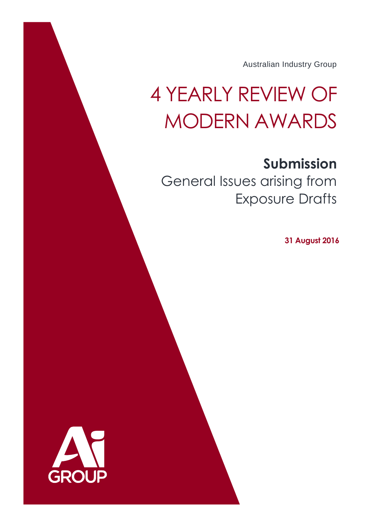Australian Industry Group

# 4 YEARLY REVIEW OF MODERN AWARDS

# **Submission**

General Issues arising from Exposure Drafts

**31 August 2016**

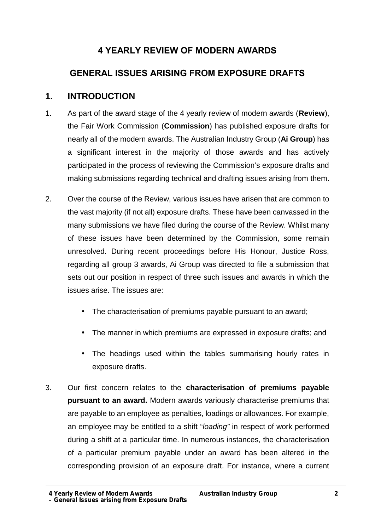# **4 YEARLY REVIEW OF MODERN AWARDS**

# **GENERAL ISSUES ARISING FROM EXPOSURE DRAFTS**

# **1. INTRODUCTION**

- 1. As part of the award stage of the 4 yearly review of modern awards (**Review**), the Fair Work Commission (**Commission**) has published exposure drafts for nearly all of the modern awards. The Australian Industry Group (**Ai Group**) has a significant interest in the majority of those awards and has actively participated in the process of reviewing the Commission's exposure drafts and making submissions regarding technical and drafting issues arising from them.
- 2. Over the course of the Review, various issues have arisen that are common to the vast majority (if not all) exposure drafts. These have been canvassed in the many submissions we have filed during the course of the Review. Whilst many of these issues have been determined by the Commission, some remain unresolved. During recent proceedings before His Honour, Justice Ross, regarding all group 3 awards, Ai Group was directed to file a submission that sets out our position in respect of three such issues and awards in which the issues arise. The issues are:
	- The characterisation of premiums payable pursuant to an award;
	- The manner in which premiums are expressed in exposure drafts; and
	- The headings used within the tables summarising hourly rates in exposure drafts.
- 3. Our first concern relates to the **characterisation of premiums payable pursuant to an award.** Modern awards variously characterise premiums that are payable to an employee as penalties, loadings or allowances. For example, an employee may be entitled to a shift "*loading"* in respect of work performed during a shift at a particular time. In numerous instances, the characterisation of a particular premium payable under an award has been altered in the corresponding provision of an exposure draft. For instance, where a current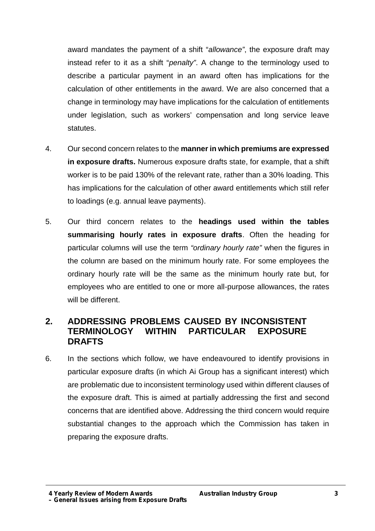award mandates the payment of a shift "*allowance"*, the exposure draft may instead refer to it as a shift "*penalty"*. A change to the terminology used to describe a particular payment in an award often has implications for the calculation of other entitlements in the award. We are also concerned that a change in terminology may have implications for the calculation of entitlements under legislation, such as workers' compensation and long service leave statutes.

- 4. Our second concern relates to the **manner in which premiums are expressed in exposure drafts.** Numerous exposure drafts state, for example, that a shift worker is to be paid 130% of the relevant rate, rather than a 30% loading. This has implications for the calculation of other award entitlements which still refer to loadings (e.g. annual leave payments).
- 5. Our third concern relates to the **headings used within the tables summarising hourly rates in exposure drafts**. Often the heading for particular columns will use the term *"ordinary hourly rate"* when the figures in the column are based on the minimum hourly rate. For some employees the ordinary hourly rate will be the same as the minimum hourly rate but, for employees who are entitled to one or more all-purpose allowances, the rates will be different.

# **2. ADDRESSING PROBLEMS CAUSED BY INCONSISTENT TERMINOLOGY WITHIN PARTICULAR EXPOSURE DRAFTS**

6. In the sections which follow, we have endeavoured to identify provisions in particular exposure drafts (in which Ai Group has a significant interest) which are problematic due to inconsistent terminology used within different clauses of the exposure draft. This is aimed at partially addressing the first and second concerns that are identified above. Addressing the third concern would require substantial changes to the approach which the Commission has taken in preparing the exposure drafts.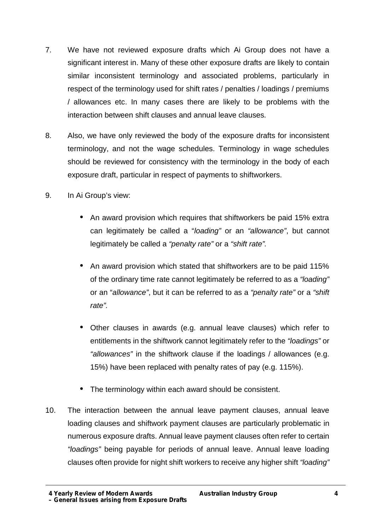- 7. We have not reviewed exposure drafts which Ai Group does not have a significant interest in. Many of these other exposure drafts are likely to contain similar inconsistent terminology and associated problems, particularly in respect of the terminology used for shift rates / penalties / loadings / premiums / allowances etc. In many cases there are likely to be problems with the interaction between shift clauses and annual leave clauses*.*
- 8. Also, we have only reviewed the body of the exposure drafts for inconsistent terminology, and not the wage schedules. Terminology in wage schedules should be reviewed for consistency with the terminology in the body of each exposure draft, particular in respect of payments to shiftworkers.
- 9. In Ai Group's view:
	- An award provision which requires that shiftworkers be paid 15% extra can legitimately be called a "*loading"* or an *"allowance"*, but cannot legitimately be called a *"penalty rate"* or a *"shift rate".*
	- An award provision which stated that shiftworkers are to be paid 115% of the ordinary time rate cannot legitimately be referred to as a *"loading"* or an "*allowance"*, but it can be referred to as a *"penalty rate"* or a *"shift rate".*
	- Other clauses in awards (e.g. annual leave clauses) which refer to entitlements in the shiftwork cannot legitimately refer to the *"loadings"* or *"allowances"* in the shiftwork clause if the loadings / allowances (e.g. 15%) have been replaced with penalty rates of pay (e.g. 115%).
	- The terminology within each award should be consistent.
- 10. The interaction between the annual leave payment clauses, annual leave loading clauses and shiftwork payment clauses are particularly problematic in numerous exposure drafts. Annual leave payment clauses often refer to certain *"loadings"* being payable for periods of annual leave. Annual leave loading clauses often provide for night shift workers to receive any higher shift *"loading"*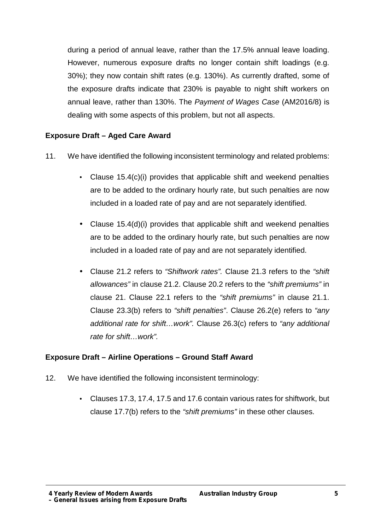during a period of annual leave, rather than the 17.5% annual leave loading. However, numerous exposure drafts no longer contain shift loadings (e.g. 30%); they now contain shift rates (e.g. 130%). As currently drafted, some of the exposure drafts indicate that 230% is payable to night shift workers on annual leave, rather than 130%. The *Payment of Wages Case* (AM2016/8) is dealing with some aspects of this problem, but not all aspects.

# **Exposure Draft – Aged Care Award**

- 11. We have identified the following inconsistent terminology and related problems:
	- Clause 15.4(c)(i) provides that applicable shift and weekend penalties are to be added to the ordinary hourly rate, but such penalties are now included in a loaded rate of pay and are not separately identified.
	- Clause 15.4(d)(i) provides that applicable shift and weekend penalties are to be added to the ordinary hourly rate, but such penalties are now included in a loaded rate of pay and are not separately identified.
	- Clause 21.2 refers to *"Shiftwork rates".* Clause 21.3 refers to the *"shift allowances"* in clause 21.2. Clause 20.2 refers to the *"shift premiums"* in clause 21. Clause 22.1 refers to the *"shift premiums"* in clause 21.1. Clause 23.3(b) refers to *"shift penalties"*. Clause 26.2(e) refers to *"any additional rate for shift…work".* Clause 26.3(c) refers to *"any additional rate for shift…work".*

# **Exposure Draft – Airline Operations – Ground Staff Award**

- 12. We have identified the following inconsistent terminology:
	- Clauses 17.3, 17.4, 17.5 and 17.6 contain various rates for shiftwork, but clause 17.7(b) refers to the *"shift premiums"* in these other clauses.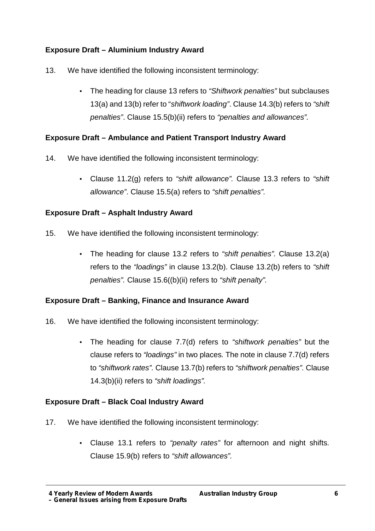# **Exposure Draft – Aluminium Industry Award**

- 13. We have identified the following inconsistent terminology:
	- The heading for clause 13 refers to *"Shiftwork penalties"* but subclauses 13(a) and 13(b) refer to "*shiftwork loading"*. Clause 14.3(b) refers to *"shift penalties"*. Clause 15.5(b)(ii) refers to *"penalties and allowances".*

# **Exposure Draft – Ambulance and Patient Transport Industry Award**

- 14. We have identified the following inconsistent terminology:
	- Clause 11.2(g) refers to *"shift allowance".* Clause 13.3 refers to *"shift allowance"*. Clause 15.5(a) refers to *"shift penalties".*

# **Exposure Draft – Asphalt Industry Award**

- 15. We have identified the following inconsistent terminology:
	- The heading for clause 13.2 refers to *"shift penalties".* Clause 13.2(a) refers to the *"loadings"* in clause 13.2(b). Clause 13.2(b) refers to *"shift penalties".* Clause 15.6((b)(ii) refers to *"shift penalty".*

# **Exposure Draft – Banking, Finance and Insurance Award**

- 16. We have identified the following inconsistent terminology:
	- The heading for clause 7.7(d) refers to *"shiftwork penalties"* but the clause refers to *"loadings"* in two places*.* The note in clause 7.7(d) refers to *"shiftwork rates".* Clause 13.7(b) refers to *"shiftwork penalties".* Clause 14.3(b)(ii) refers to *"shift loadings".*

# **Exposure Draft – Black Coal Industry Award**

- 17. We have identified the following inconsistent terminology:
	- Clause 13.1 refers to *"penalty rates"* for afternoon and night shifts. Clause 15.9(b) refers to *"shift allowances".*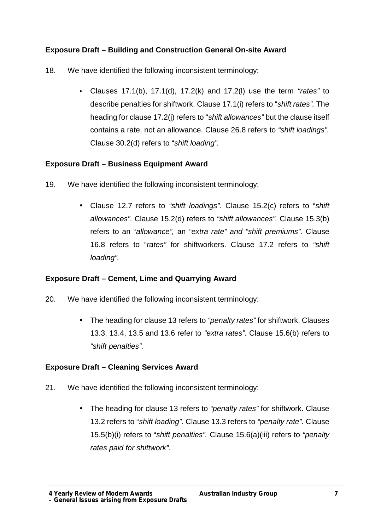# **Exposure Draft – Building and Construction General On-site Award**

- 18. We have identified the following inconsistent terminology:
	- Clauses 17.1(b), 17.1(d), 17.2(k) and 17.2(l) use the term *"rates"* to describe penalties for shiftwork. Clause 17.1(i) refers to "*shift rates".* The heading for clause 17.2(j) refers to "*shift allowances"* but the clause itself contains a rate, not an allowance. Clause 26.8 refers to *"shift loadings".* Clause 30.2(d) refers to "*shift loading".*

# **Exposure Draft – Business Equipment Award**

- 19. We have identified the following inconsistent terminology:
	- Clause 12.7 refers to *"shift loadings".* Clause 15.2(c) refers to "*shift allowances".* Clause 15.2(d) refers to *"shift allowances".* Clause 15.3(b) refers to an "*allowance",* an *"extra rate" and "shift premiums".* Clause 16.8 refers to "*rates"* for shiftworkers. Clause 17.2 refers to *"shift loading".*

# **Exposure Draft – Cement, Lime and Quarrying Award**

- 20. We have identified the following inconsistent terminology:
	- The heading for clause 13 refers to *"penalty rates"* for shiftwork. Clauses 13.3, 13.4, 13.5 and 13.6 refer to *"extra rates".* Clause 15.6(b) refers to *"shift penalties".*

# **Exposure Draft – Cleaning Services Award**

- 21. We have identified the following inconsistent terminology:
	- The heading for clause 13 refers to *"penalty rates"* for shiftwork. Clause 13.2 refers to "*shift loading"*. Clause 13.3 refers to *"penalty rate".* Clause 15.5(b)(i) refers to "*shift penalties".* Clause 15.6(a)(iii) refers to *"penalty rates paid for shiftwork".*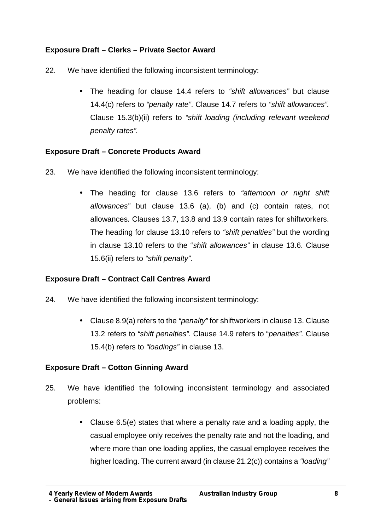# **Exposure Draft – Clerks – Private Sector Award**

- 22. We have identified the following inconsistent terminology:
	- The heading for clause 14.4 refers to *"shift allowances"* but clause 14.4(c) refers to *"penalty rate"*. Clause 14.7 refers to *"shift allowances".* Clause 15.3(b)(ii) refers to *"shift loading (including relevant weekend penalty rates".*

# **Exposure Draft – Concrete Products Award**

- 23. We have identified the following inconsistent terminology:
	- The heading for clause 13.6 refers to *"afternoon or night shift allowances"* but clause 13.6 (a), (b) and (c) contain rates, not allowances. Clauses 13.7, 13.8 and 13.9 contain rates for shiftworkers. The heading for clause 13.10 refers to *"shift penalties"* but the wording in clause 13.10 refers to the "*shift allowances"* in clause 13.6. Clause 15.6(ii) refers to *"shift penalty".*

# **Exposure Draft – Contract Call Centres Award**

- 24. We have identified the following inconsistent terminology:
	- Clause 8.9(a) refers to the *"penalty"* for shiftworkers in clause 13. Clause 13.2 refers to *"shift penalties".* Clause 14.9 refers to "*penalties".* Clause 15.4(b) refers to *"loadings"* in clause 13.

# **Exposure Draft – Cotton Ginning Award**

- 25. We have identified the following inconsistent terminology and associated problems:
	- Clause 6.5(e) states that where a penalty rate and a loading apply, the casual employee only receives the penalty rate and not the loading, and where more than one loading applies, the casual employee receives the higher loading. The current award (in clause 21.2(c)) contains a *"loading"*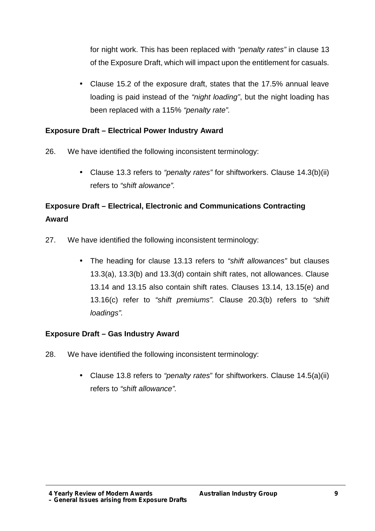for night work. This has been replaced with *"penalty rates"* in clause 13 of the Exposure Draft, which will impact upon the entitlement for casuals.

 Clause 15.2 of the exposure draft, states that the 17.5% annual leave loading is paid instead of the *"night loading"*, but the night loading has been replaced with a 115% *"penalty rate".*

# **Exposure Draft – Electrical Power Industry Award**

- 26. We have identified the following inconsistent terminology:
	- Clause 13.3 refers to *"penalty rates"* for shiftworkers. Clause 14.3(b)(ii) refers to *"shift alowance".*

# **Exposure Draft – Electrical, Electronic and Communications Contracting Award**

- 27. We have identified the following inconsistent terminology:
	- The heading for clause 13.13 refers to *"shift allowances"* but clauses 13.3(a), 13.3(b) and 13.3(d) contain shift rates, not allowances. Clause 13.14 and 13.15 also contain shift rates. Clauses 13.14, 13.15(e) and 13.16(c) refer to *"shift premiums".* Clause 20.3(b) refers to *"shift loadings".*

# **Exposure Draft – Gas Industry Award**

- 28. We have identified the following inconsistent terminology:
	- Clause 13.8 refers to *"penalty rates*" for shiftworkers. Clause 14.5(a)(ii) refers to *"shift allowance".*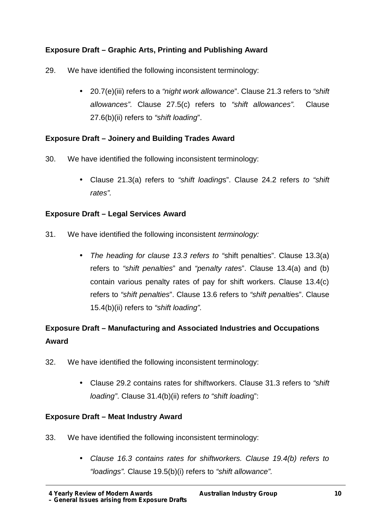# **Exposure Draft – Graphic Arts, Printing and Publishing Award**

- 29. We have identified the following inconsistent terminology:
	- 20.7(e)(iii) refers to a *"night work allowance*". Clause 21.3 refers to *"shift allowances".* Clause 27.5(c) refers to *"shift allowances".* Clause 27.6(b)(ii) refers to *"shift loading*".

# **Exposure Draft – Joinery and Building Trades Award**

- 30. We have identified the following inconsistent terminology:
	- Clause 21.3(a) refers to *"shift loading*s". Clause 24.2 refers *to "shift rates".*

# **Exposure Draft – Legal Services Award**

- 31. We have identified the following inconsistent *terminology:*
	- *The heading for clause 13.3 refers to "*shift penalties". Clause 13.3(a) refers to *"shift penalties*" and *"penalty rate*s". Clause 13.4(a) and (b) contain various penalty rates of pay for shift workers. Clause 13.4(c) refers to *"shift penalties*". Clause 13.6 refers to *"shift penalti*es". Clause 15.4(b)(ii) refers to *"shift loading".*

# **Exposure Draft – Manufacturing and Associated Industries and Occupations Award**

- 32. We have identified the following inconsistent terminology:
	- Clause 29.2 contains rates for shiftworkers. Clause 31.3 refers to *"shift loading"*. Clause 31.4(b)(ii) refers *to "shift loadin*g":

# **Exposure Draft – Meat Industry Award**

- 33. We have identified the following inconsistent terminology:
	- *Clause 16.3 contains rates for shiftworkers. Clause 19.4(b) refers to "loadings".* Clause 19.5(b)(i) refers to *"shift allowance".*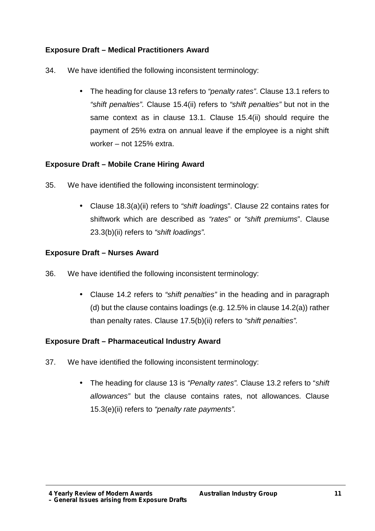# **Exposure Draft – Medical Practitioners Award**

- 34. We have identified the following inconsistent terminology:
	- The heading for clause 13 refers to *"penalty rates"*. Clause 13.1 refers to *"shift penalties".* Clause 15.4(ii) refers to *"shift penalties"* but not in the same context as in clause 13.1. Clause 15.4(ii) should require the payment of 25% extra on annual leave if the employee is a night shift worker – not 125% extra.

# **Exposure Draft – Mobile Crane Hiring Award**

- 35. We have identified the following inconsistent terminology:
	- Clause 18.3(a)(ii) refers to *"shift loadin*gs". Clause 22 contains rates for shiftwork which are described as *"rates*" or *"shift premiums*". Clause 23.3(b)(ii) refers to *"shift loadings".*

# **Exposure Draft – Nurses Award**

- 36. We have identified the following inconsistent terminology:
	- Clause 14.2 refers to *"shift penalties"* in the heading and in paragraph (d) but the clause contains loadings (e.g.  $12.5\%$  in clause  $14.2(a)$ ) rather than penalty rates. Clause 17.5(b)(ii) refers to *"shift penalties".*

# **Exposure Draft – Pharmaceutical Industry Award**

- 37. We have identified the following inconsistent terminology:
	- The heading for clause 13 is *"Penalty rates".* Clause 13.2 refers to "*shift allowances"* but the clause contains rates, not allowances. Clause 15.3(e)(ii) refers to *"penalty rate payments".*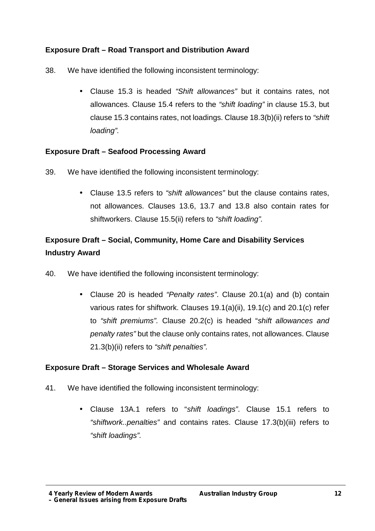# **Exposure Draft – Road Transport and Distribution Award**

- 38. We have identified the following inconsistent terminology:
	- Clause 15.3 is headed *"Shift allowances"* but it contains rates, not allowances. Clause 15.4 refers to the *"shift loading"* in clause 15.3, but clause 15.3 contains rates, not loadings. Clause 18.3(b)(ii) refers to *"shift loading".*

#### **Exposure Draft – Seafood Processing Award**

- 39. We have identified the following inconsistent terminology:
	- Clause 13.5 refers to *"shift allowances"* but the clause contains rates, not allowances. Clauses 13.6, 13.7 and 13.8 also contain rates for shiftworkers. Clause 15.5(ii) refers to *"shift loading".*

# **Exposure Draft – Social, Community, Home Care and Disability Services Industry Award**

- 40. We have identified the following inconsistent terminology:
	- Clause 20 is headed *"Penalty rates"*. Clause 20.1(a) and (b) contain various rates for shiftwork. Clauses 19.1(a)(ii), 19.1(c) and 20.1(c) refer to *"shift premiums".* Clause 20.2(c) is headed "*shift allowances and penalty rates"* but the clause only contains rates, not allowances. Clause 21.3(b)(ii) refers to *"shift penalties".*

# **Exposure Draft – Storage Services and Wholesale Award**

- 41. We have identified the following inconsistent terminology:
	- Clause 13A.1 refers to "*shift loadings"*. Clause 15.1 refers to *"shiftwork..penalties"* and contains rates. Clause 17.3(b)(iii) refers to *"shift loadings".*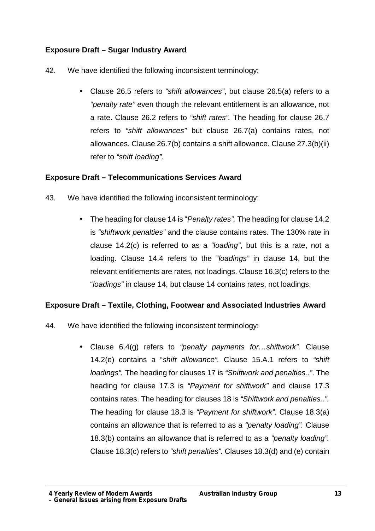# **Exposure Draft – Sugar Industry Award**

- 42. We have identified the following inconsistent terminology:
	- Clause 26.5 refers to *"shift allowances"*, but clause 26.5(a) refers to a *"penalty rate"* even though the relevant entitlement is an allowance, not a rate. Clause 26.2 refers to *"shift rates".* The heading for clause 26.7 refers to *"shift allowances"* but clause 26.7(a) contains rates, not allowances. Clause 26.7(b) contains a shift allowance. Clause 27.3(b)(ii) refer to *"shift loading".*

# **Exposure Draft – Telecommunications Services Award**

- 43. We have identified the following inconsistent terminology:
	- The heading for clause 14 is "*Penalty rates".* The heading for clause 14.2 is *"shiftwork penalties"* and the clause contains rates. The 130% rate in clause 14.2(c) is referred to as a *"loading"*, but this is a rate, not a loading*.* Clause 14.4 refers to the *"loadings"* in clause 14, but the relevant entitlements are rates, not loadings. Clause 16.3(c) refers to the "*loadings"* in clause 14, but clause 14 contains rates, not loadings.

# **Exposure Draft – Textile, Clothing, Footwear and Associated Industries Award**

- 44. We have identified the following inconsistent terminology:
	- Clause 6.4(g) refers to *"penalty payments for…shiftwork".* Clause 14.2(e) contains a "*shift allowance".* Clause 15.A.1 refers to *"shift loadings".* The heading for clauses 17 is *"Shiftwork and penalties.."*. The heading for clause 17.3 is *"Payment for shiftwork"* and clause 17.3 contains rates. The heading for clauses 18 is *"Shiftwork and penalties..".* The heading for clause 18.3 is *"Payment for shiftwork".* Clause 18.3(a) contains an allowance that is referred to as a *"penalty loading".* Clause 18.3(b) contains an allowance that is referred to as a *"penalty loading".* Clause 18.3(c) refers to *"shift penalties".* Clauses 18.3(d) and (e) contain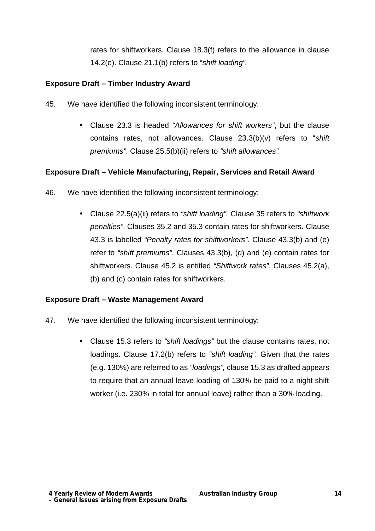rates for shiftworkers. Clause 18.3(f) refers to the allowance in clause 14.2(e). Clause 21.1(b) refers to "*shift loading".*

# **Exposure Draft – Timber Industry Award**

- 45. We have identified the following inconsistent terminology:
	- Clause 23.3 is headed *"Allowances for shift workers"*, but the clause contains rates, not allowances. Clause 23.3(b)(v) refers to "*shift premiums"*. Clause 25.5(b)(ii) refers to *"shift allowances".*

#### **Exposure Draft – Vehicle Manufacturing, Repair, Services and Retail Award**

- 46. We have identified the following inconsistent terminology:
	- Clause 22.5(a)(ii) refers to *"shift loading".* Clause 35 refers to *"shiftwork penalties"*. Clauses 35.2 and 35.3 contain rates for shiftworkers. Clause 43.3 is labelled *"Penalty rates for shiftworkers".* Clause 43.3(b) and (e) refer to *"shift premiums"*. Clauses 43.3(b), (d) and (e) contain rates for shiftworkers. Clause 45.2 is entitled *"Shiftwork rates"*. Clauses 45.2(a), (b) and (c) contain rates for shiftworkers.

#### **Exposure Draft – Waste Management Award**

- 47. We have identified the following inconsistent terminology:
	- Clause 15.3 refers to *"shift loadings"* but the clause contains rates, not loadings. Clause 17.2(b) refers to *"shift loading".* Given that the rates (e.g. 130%) are referred to as *"loadings",* clause 15.3 as drafted appears to require that an annual leave loading of 130% be paid to a night shift worker (i.e. 230% in total for annual leave) rather than a 30% loading.